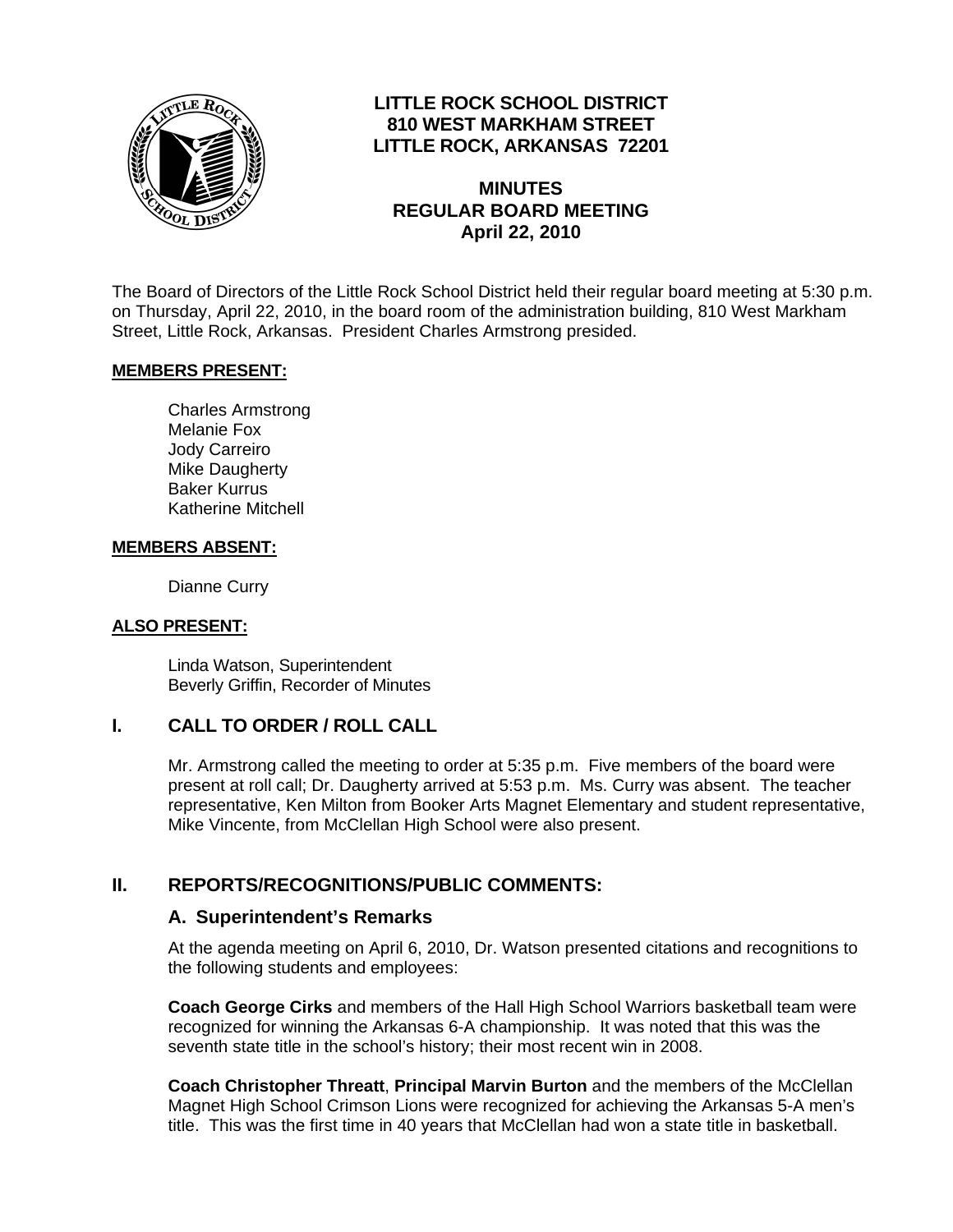

# **LITTLE ROCK SCHOOL DISTRICT 810 WEST MARKHAM STREET LITTLE ROCK, ARKANSAS 72201**

### **MINUTES REGULAR BOARD MEETING April 22, 2010**

The Board of Directors of the Little Rock School District held their regular board meeting at 5:30 p.m. on Thursday, April 22, 2010, in the board room of the administration building, 810 West Markham Street, Little Rock, Arkansas. President Charles Armstrong presided.

### **MEMBERS PRESENT:**

Charles Armstrong Melanie Fox Jody Carreiro Mike Daugherty Baker Kurrus Katherine Mitchell

#### **MEMBERS ABSENT:**

Dianne Curry

#### **ALSO PRESENT:**

 Linda Watson, Superintendent Beverly Griffin, Recorder of Minutes

## **I. CALL TO ORDER / ROLL CALL**

Mr. Armstrong called the meeting to order at 5:35 p.m. Five members of the board were present at roll call; Dr. Daugherty arrived at 5:53 p.m. Ms. Curry was absent. The teacher representative, Ken Milton from Booker Arts Magnet Elementary and student representative, Mike Vincente, from McClellan High School were also present.

### **II. REPORTS/RECOGNITIONS/PUBLIC COMMENTS:**

#### **A. Superintendent's Remarks**

At the agenda meeting on April 6, 2010, Dr. Watson presented citations and recognitions to the following students and employees:

**Coach George Cirks** and members of the Hall High School Warriors basketball team were recognized for winning the Arkansas 6-A championship. It was noted that this was the seventh state title in the school's history; their most recent win in 2008.

**Coach Christopher Threatt**, **Principal Marvin Burton** and the members of the McClellan Magnet High School Crimson Lions were recognized for achieving the Arkansas 5-A men's title. This was the first time in 40 years that McClellan had won a state title in basketball.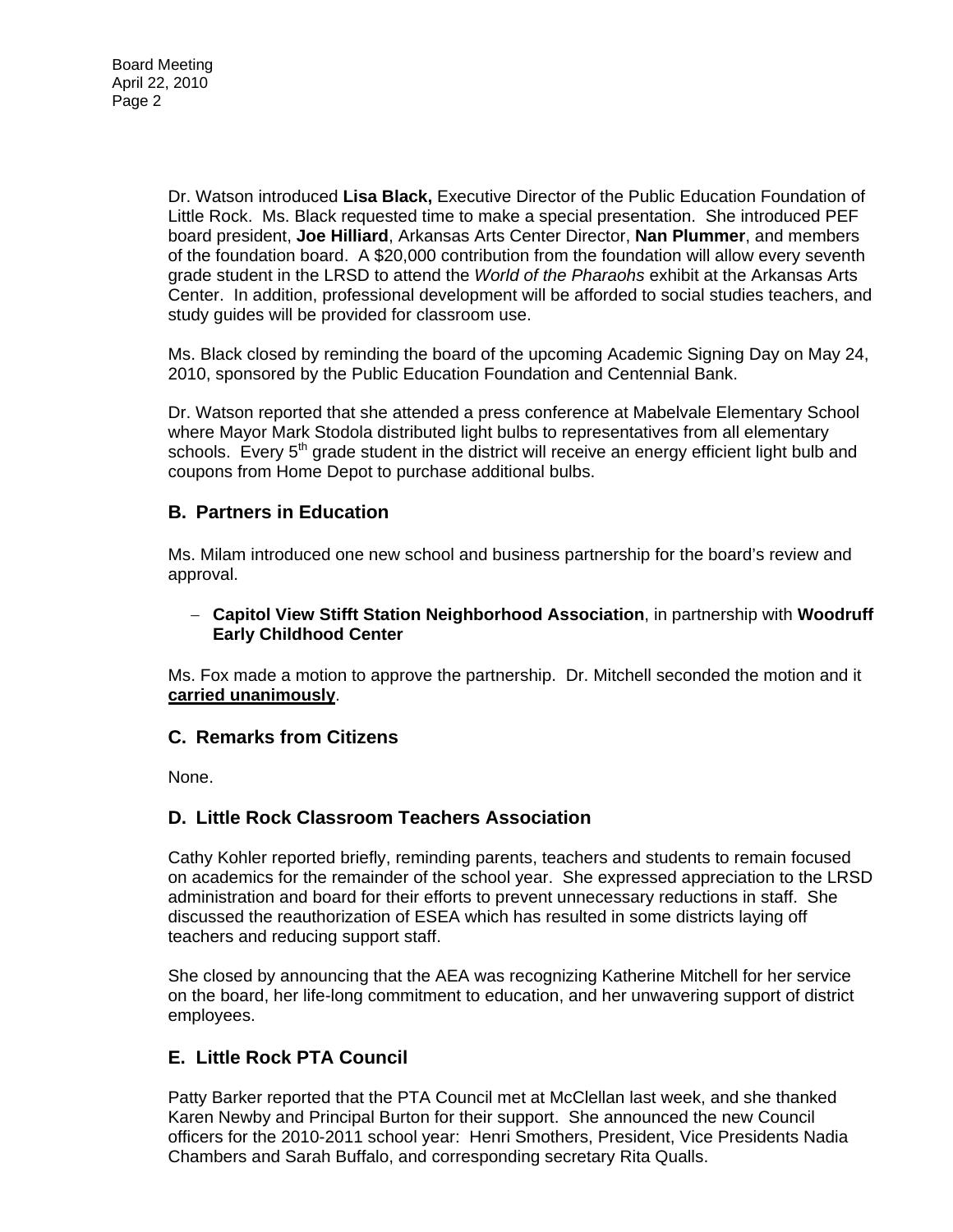Dr. Watson introduced **Lisa Black,** Executive Director of the Public Education Foundation of Little Rock. Ms. Black requested time to make a special presentation. She introduced PEF board president, **Joe Hilliard**, Arkansas Arts Center Director, **Nan Plummer**, and members of the foundation board. A \$20,000 contribution from the foundation will allow every seventh grade student in the LRSD to attend the *World of the Pharaohs* exhibit at the Arkansas Arts Center. In addition, professional development will be afforded to social studies teachers, and study guides will be provided for classroom use.

Ms. Black closed by reminding the board of the upcoming Academic Signing Day on May 24, 2010, sponsored by the Public Education Foundation and Centennial Bank.

Dr. Watson reported that she attended a press conference at Mabelvale Elementary School where Mayor Mark Stodola distributed light bulbs to representatives from all elementary schools. Every  $5<sup>th</sup>$  grade student in the district will receive an energy efficient light bulb and coupons from Home Depot to purchase additional bulbs.

## **B. Partners in Education**

Ms. Milam introduced one new school and business partnership for the board's review and approval.

### − **Capitol View Stifft Station Neighborhood Association**, in partnership with **Woodruff Early Childhood Center**

Ms. Fox made a motion to approve the partnership. Dr. Mitchell seconded the motion and it **carried unanimously**.

## **C. Remarks from Citizens**

None.

## **D. Little Rock Classroom Teachers Association**

Cathy Kohler reported briefly, reminding parents, teachers and students to remain focused on academics for the remainder of the school year. She expressed appreciation to the LRSD administration and board for their efforts to prevent unnecessary reductions in staff. She discussed the reauthorization of ESEA which has resulted in some districts laying off teachers and reducing support staff.

She closed by announcing that the AEA was recognizing Katherine Mitchell for her service on the board, her life-long commitment to education, and her unwavering support of district employees.

## **E. Little Rock PTA Council**

Patty Barker reported that the PTA Council met at McClellan last week, and she thanked Karen Newby and Principal Burton for their support. She announced the new Council officers for the 2010-2011 school year: Henri Smothers, President, Vice Presidents Nadia Chambers and Sarah Buffalo, and corresponding secretary Rita Qualls.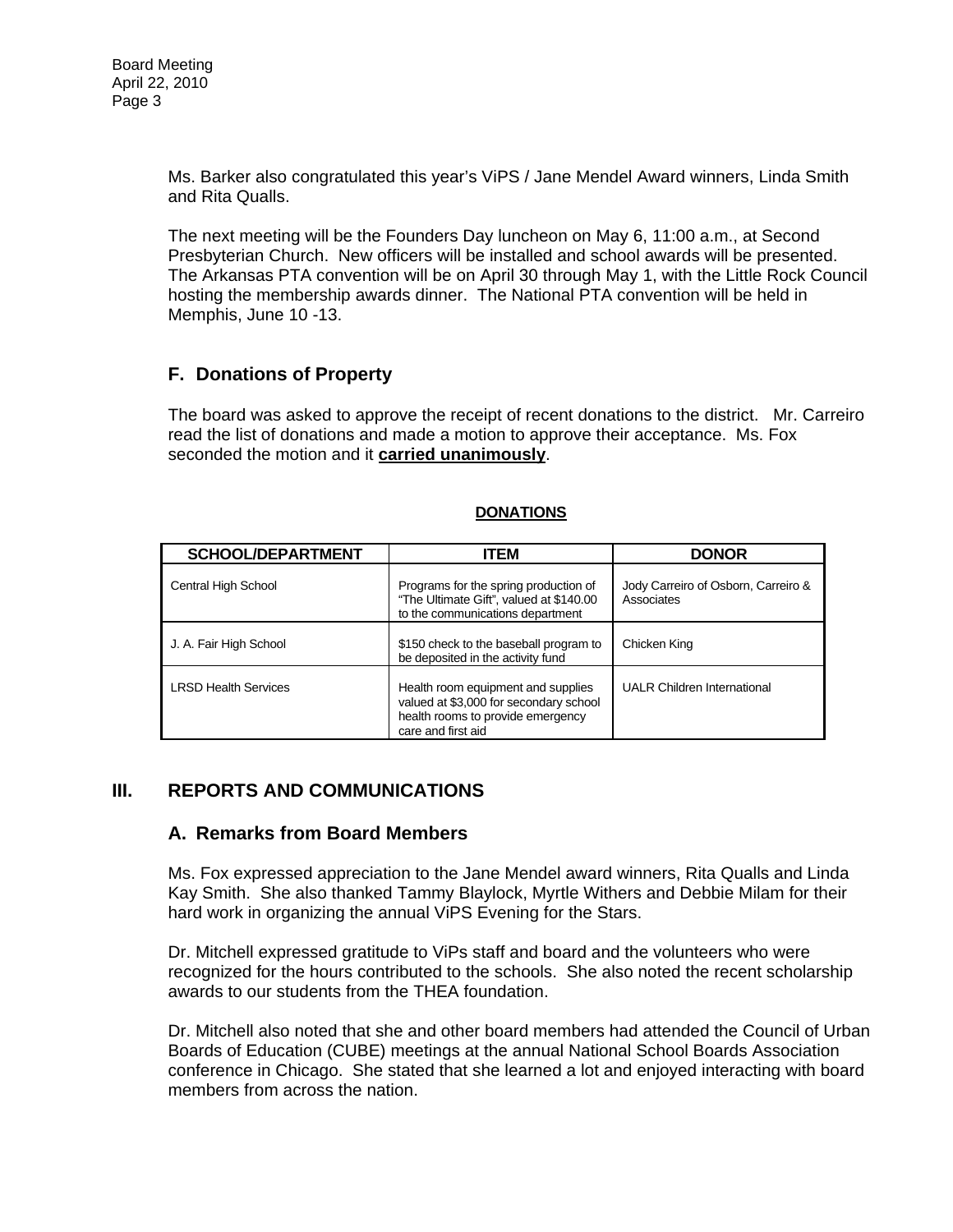Ms. Barker also congratulated this year's ViPS / Jane Mendel Award winners, Linda Smith and Rita Qualls.

The next meeting will be the Founders Day luncheon on May 6, 11:00 a.m., at Second Presbyterian Church. New officers will be installed and school awards will be presented. The Arkansas PTA convention will be on April 30 through May 1, with the Little Rock Council hosting the membership awards dinner. The National PTA convention will be held in Memphis, June 10 -13.

# **F. Donations of Property**

The board was asked to approve the receipt of recent donations to the district. Mr. Carreiro read the list of donations and made a motion to approve their acceptance. Ms. Fox seconded the motion and it **carried unanimously**.

| <b>SCHOOL/DEPARTMENT</b>    | <b>ITEM</b>                                                                                                                             | <b>DONOR</b>                                      |
|-----------------------------|-----------------------------------------------------------------------------------------------------------------------------------------|---------------------------------------------------|
| Central High School         | Programs for the spring production of<br>"The Ultimate Gift", valued at \$140.00<br>to the communications department                    | Jody Carreiro of Osborn, Carreiro &<br>Associates |
| J. A. Fair High School      | \$150 check to the baseball program to<br>be deposited in the activity fund                                                             | Chicken King                                      |
| <b>LRSD Health Services</b> | Health room equipment and supplies<br>valued at \$3,000 for secondary school<br>health rooms to provide emergency<br>care and first aid | <b>UALR Children International</b>                |

### **DONATIONS**

## **III. REPORTS AND COMMUNICATIONS**

### **A. Remarks from Board Members**

Ms. Fox expressed appreciation to the Jane Mendel award winners, Rita Qualls and Linda Kay Smith. She also thanked Tammy Blaylock, Myrtle Withers and Debbie Milam for their hard work in organizing the annual ViPS Evening for the Stars.

Dr. Mitchell expressed gratitude to ViPs staff and board and the volunteers who were recognized for the hours contributed to the schools. She also noted the recent scholarship awards to our students from the THEA foundation.

Dr. Mitchell also noted that she and other board members had attended the Council of Urban Boards of Education (CUBE) meetings at the annual National School Boards Association conference in Chicago. She stated that she learned a lot and enjoyed interacting with board members from across the nation.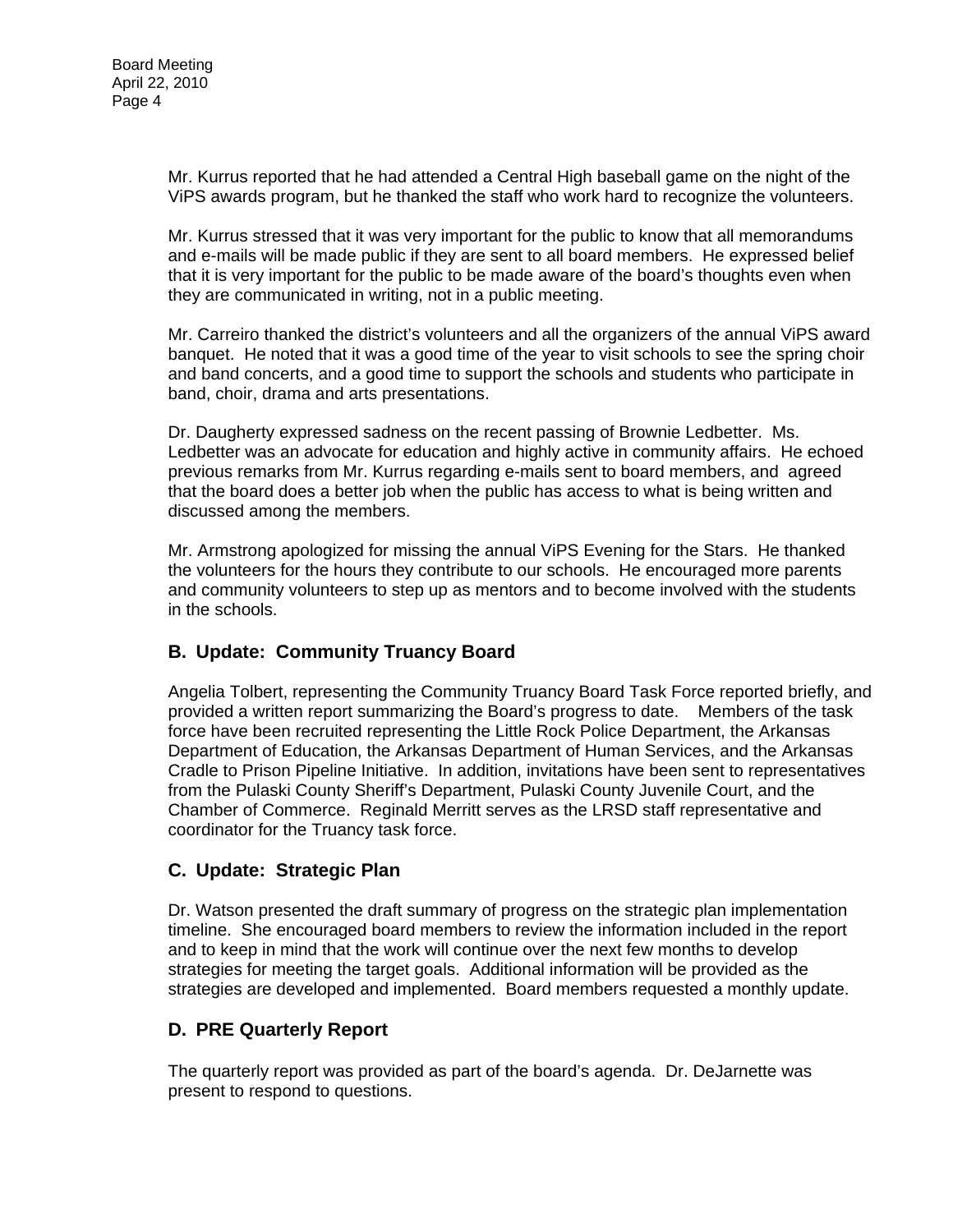Mr. Kurrus reported that he had attended a Central High baseball game on the night of the ViPS awards program, but he thanked the staff who work hard to recognize the volunteers.

Mr. Kurrus stressed that it was very important for the public to know that all memorandums and e-mails will be made public if they are sent to all board members. He expressed belief that it is very important for the public to be made aware of the board's thoughts even when they are communicated in writing, not in a public meeting.

Mr. Carreiro thanked the district's volunteers and all the organizers of the annual ViPS award banquet. He noted that it was a good time of the year to visit schools to see the spring choir and band concerts, and a good time to support the schools and students who participate in band, choir, drama and arts presentations.

Dr. Daugherty expressed sadness on the recent passing of Brownie Ledbetter. Ms. Ledbetter was an advocate for education and highly active in community affairs. He echoed previous remarks from Mr. Kurrus regarding e-mails sent to board members, and agreed that the board does a better job when the public has access to what is being written and discussed among the members.

Mr. Armstrong apologized for missing the annual ViPS Evening for the Stars. He thanked the volunteers for the hours they contribute to our schools. He encouraged more parents and community volunteers to step up as mentors and to become involved with the students in the schools.

# **B. Update: Community Truancy Board**

Angelia Tolbert, representing the Community Truancy Board Task Force reported briefly, and provided a written report summarizing the Board's progress to date. Members of the task force have been recruited representing the Little Rock Police Department, the Arkansas Department of Education, the Arkansas Department of Human Services, and the Arkansas Cradle to Prison Pipeline Initiative. In addition, invitations have been sent to representatives from the Pulaski County Sheriff's Department, Pulaski County Juvenile Court, and the Chamber of Commerce. Reginald Merritt serves as the LRSD staff representative and coordinator for the Truancy task force.

# **C. Update: Strategic Plan**

Dr. Watson presented the draft summary of progress on the strategic plan implementation timeline. She encouraged board members to review the information included in the report and to keep in mind that the work will continue over the next few months to develop strategies for meeting the target goals. Additional information will be provided as the strategies are developed and implemented. Board members requested a monthly update.

# **D. PRE Quarterly Report**

The quarterly report was provided as part of the board's agenda. Dr. DeJarnette was present to respond to questions.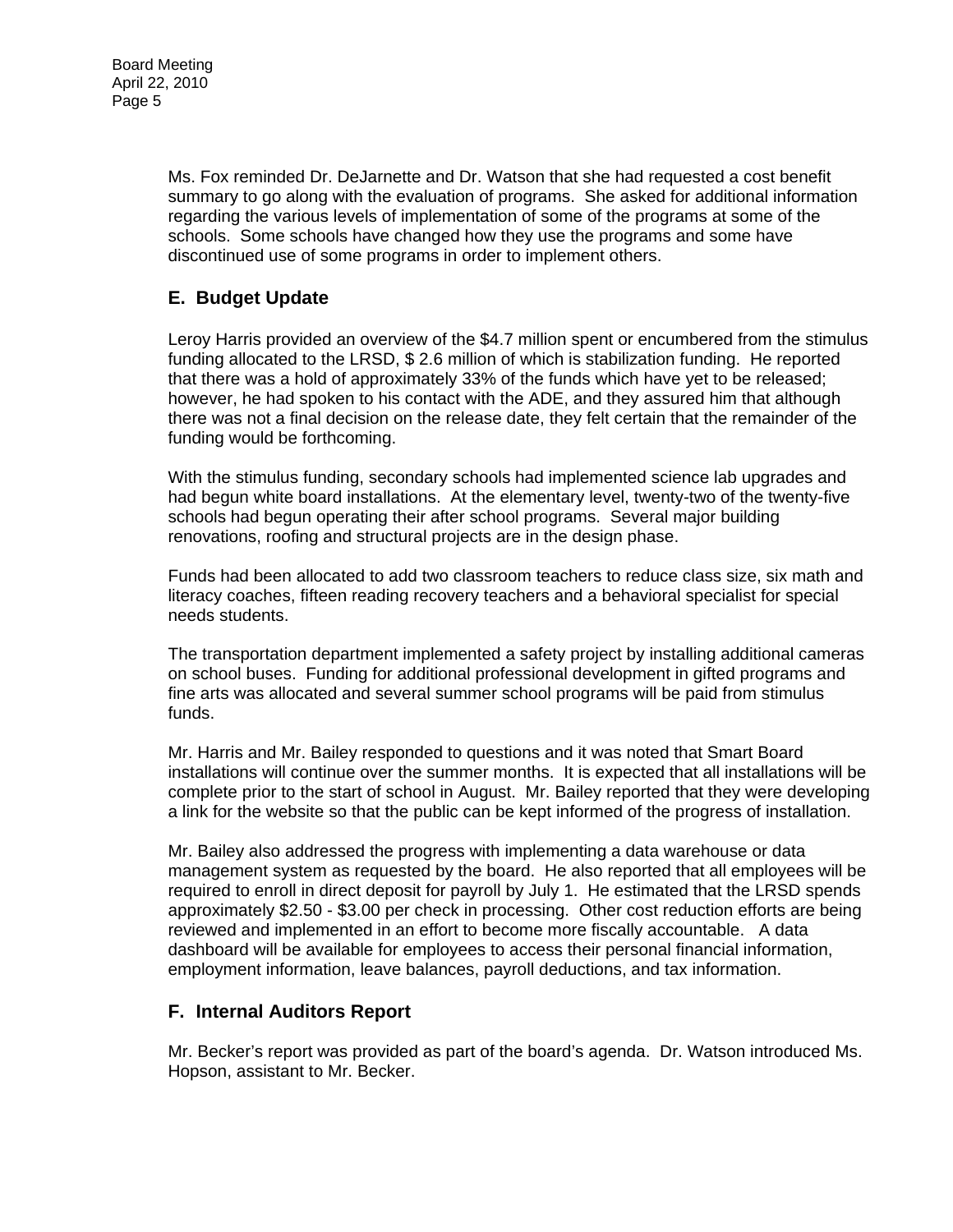Ms. Fox reminded Dr. DeJarnette and Dr. Watson that she had requested a cost benefit summary to go along with the evaluation of programs. She asked for additional information regarding the various levels of implementation of some of the programs at some of the schools. Some schools have changed how they use the programs and some have discontinued use of some programs in order to implement others.

# **E. Budget Update**

Leroy Harris provided an overview of the \$4.7 million spent or encumbered from the stimulus funding allocated to the LRSD, \$ 2.6 million of which is stabilization funding. He reported that there was a hold of approximately 33% of the funds which have yet to be released; however, he had spoken to his contact with the ADE, and they assured him that although there was not a final decision on the release date, they felt certain that the remainder of the funding would be forthcoming.

With the stimulus funding, secondary schools had implemented science lab upgrades and had begun white board installations. At the elementary level, twenty-two of the twenty-five schools had begun operating their after school programs. Several major building renovations, roofing and structural projects are in the design phase.

Funds had been allocated to add two classroom teachers to reduce class size, six math and literacy coaches, fifteen reading recovery teachers and a behavioral specialist for special needs students.

The transportation department implemented a safety project by installing additional cameras on school buses. Funding for additional professional development in gifted programs and fine arts was allocated and several summer school programs will be paid from stimulus funds.

Mr. Harris and Mr. Bailey responded to questions and it was noted that Smart Board installations will continue over the summer months. It is expected that all installations will be complete prior to the start of school in August. Mr. Bailey reported that they were developing a link for the website so that the public can be kept informed of the progress of installation.

Mr. Bailey also addressed the progress with implementing a data warehouse or data management system as requested by the board. He also reported that all employees will be required to enroll in direct deposit for payroll by July 1. He estimated that the LRSD spends approximately \$2.50 - \$3.00 per check in processing. Other cost reduction efforts are being reviewed and implemented in an effort to become more fiscally accountable. A data dashboard will be available for employees to access their personal financial information, employment information, leave balances, payroll deductions, and tax information.

## **F. Internal Auditors Report**

Mr. Becker's report was provided as part of the board's agenda. Dr. Watson introduced Ms. Hopson, assistant to Mr. Becker.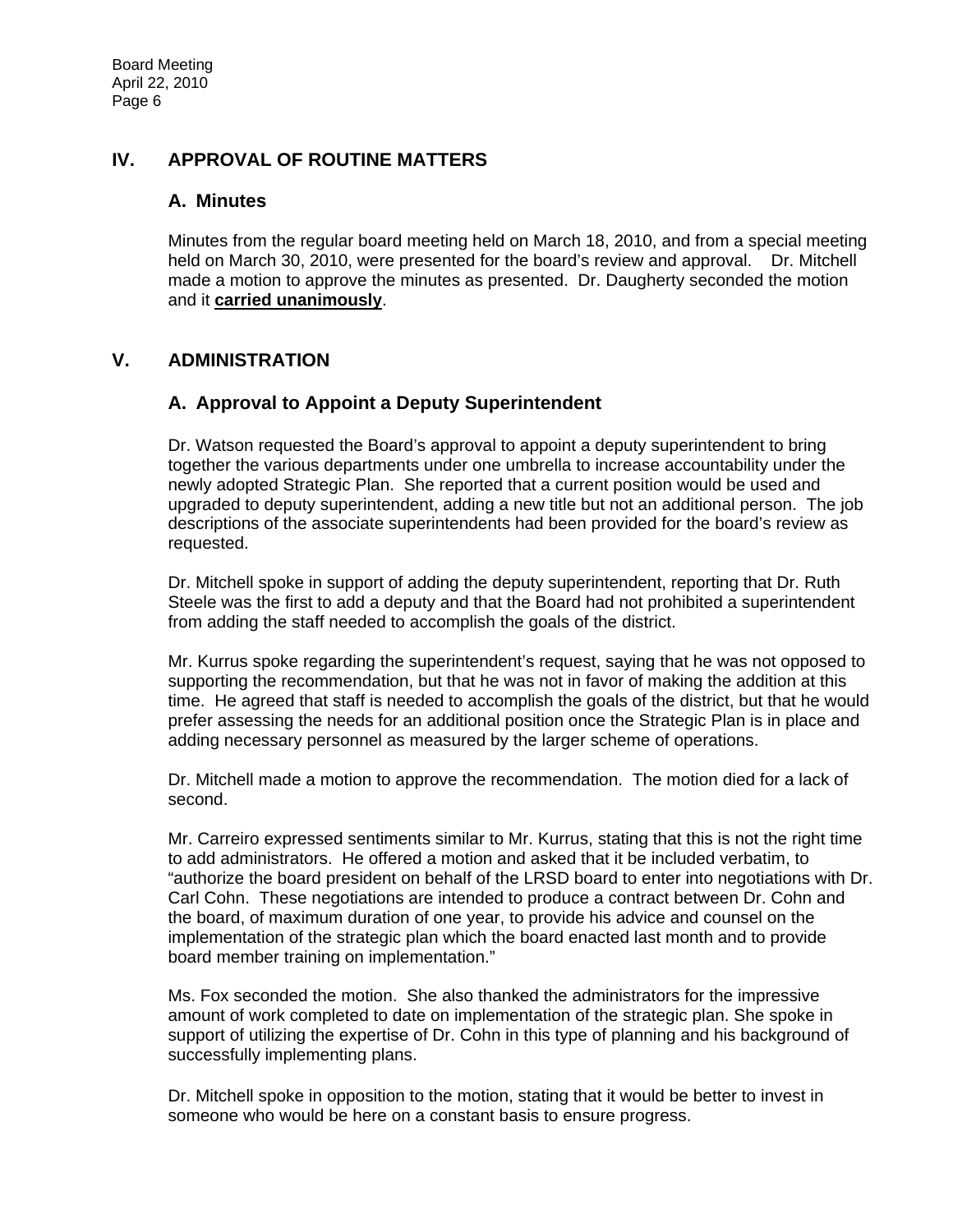# **IV. APPROVAL OF ROUTINE MATTERS**

### **A. Minutes**

Minutes from the regular board meeting held on March 18, 2010, and from a special meeting held on March 30, 2010, were presented for the board's review and approval. Dr. Mitchell made a motion to approve the minutes as presented. Dr. Daugherty seconded the motion and it **carried unanimously**.

# **V. ADMINISTRATION**

## **A. Approval to Appoint a Deputy Superintendent**

Dr. Watson requested the Board's approval to appoint a deputy superintendent to bring together the various departments under one umbrella to increase accountability under the newly adopted Strategic Plan. She reported that a current position would be used and upgraded to deputy superintendent, adding a new title but not an additional person. The job descriptions of the associate superintendents had been provided for the board's review as requested.

Dr. Mitchell spoke in support of adding the deputy superintendent, reporting that Dr. Ruth Steele was the first to add a deputy and that the Board had not prohibited a superintendent from adding the staff needed to accomplish the goals of the district.

Mr. Kurrus spoke regarding the superintendent's request, saying that he was not opposed to supporting the recommendation, but that he was not in favor of making the addition at this time. He agreed that staff is needed to accomplish the goals of the district, but that he would prefer assessing the needs for an additional position once the Strategic Plan is in place and adding necessary personnel as measured by the larger scheme of operations.

Dr. Mitchell made a motion to approve the recommendation. The motion died for a lack of second.

Mr. Carreiro expressed sentiments similar to Mr. Kurrus, stating that this is not the right time to add administrators. He offered a motion and asked that it be included verbatim, to "authorize the board president on behalf of the LRSD board to enter into negotiations with Dr. Carl Cohn. These negotiations are intended to produce a contract between Dr. Cohn and the board, of maximum duration of one year, to provide his advice and counsel on the implementation of the strategic plan which the board enacted last month and to provide board member training on implementation."

Ms. Fox seconded the motion. She also thanked the administrators for the impressive amount of work completed to date on implementation of the strategic plan. She spoke in support of utilizing the expertise of Dr. Cohn in this type of planning and his background of successfully implementing plans.

Dr. Mitchell spoke in opposition to the motion, stating that it would be better to invest in someone who would be here on a constant basis to ensure progress.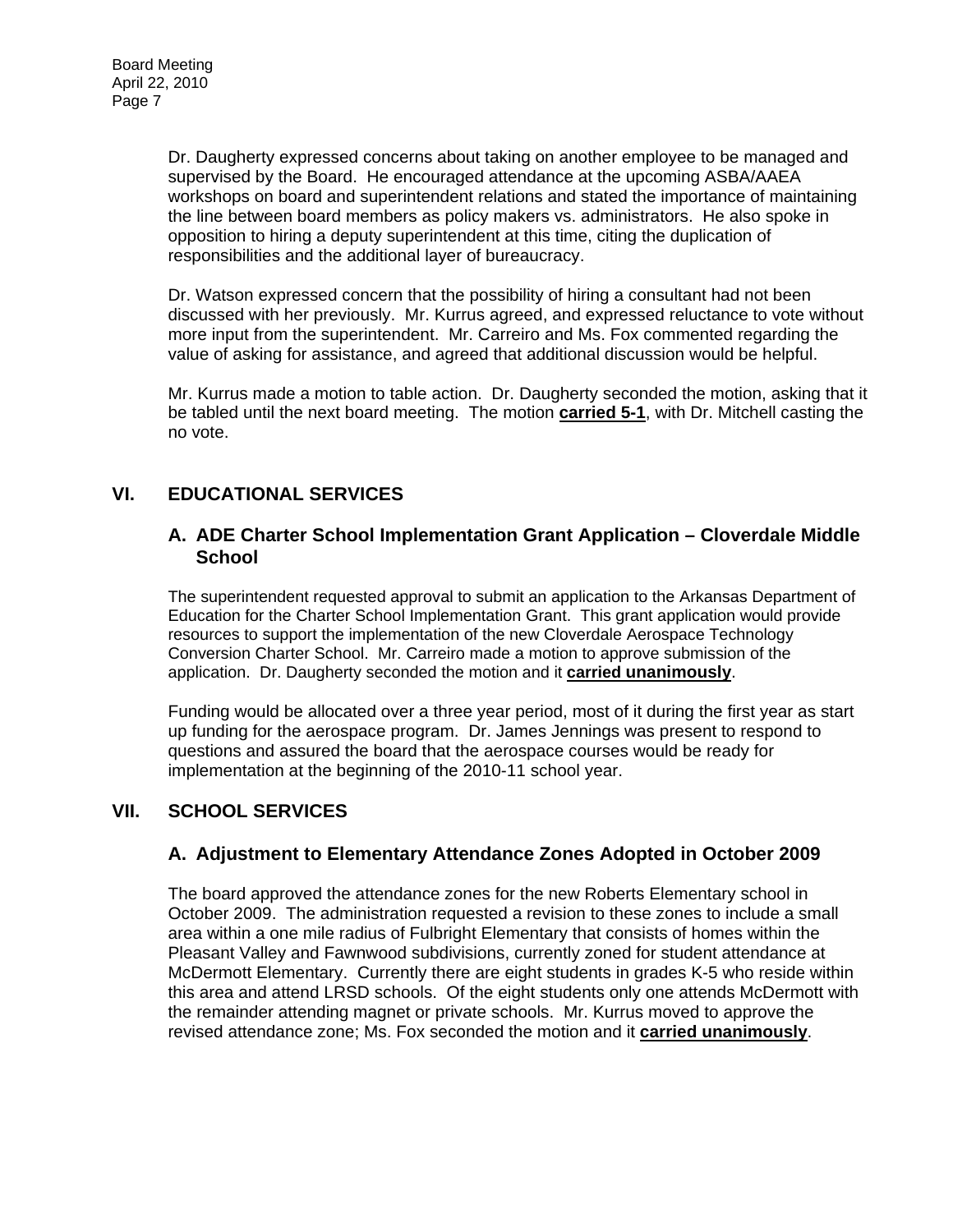Dr. Daugherty expressed concerns about taking on another employee to be managed and supervised by the Board. He encouraged attendance at the upcoming ASBA/AAEA workshops on board and superintendent relations and stated the importance of maintaining the line between board members as policy makers vs. administrators. He also spoke in opposition to hiring a deputy superintendent at this time, citing the duplication of responsibilities and the additional layer of bureaucracy.

Dr. Watson expressed concern that the possibility of hiring a consultant had not been discussed with her previously. Mr. Kurrus agreed, and expressed reluctance to vote without more input from the superintendent. Mr. Carreiro and Ms. Fox commented regarding the value of asking for assistance, and agreed that additional discussion would be helpful.

Mr. Kurrus made a motion to table action. Dr. Daugherty seconded the motion, asking that it be tabled until the next board meeting. The motion **carried 5-1**, with Dr. Mitchell casting the no vote.

# **VI. EDUCATIONAL SERVICES**

### **A. ADE Charter School Implementation Grant Application – Cloverdale Middle School**

The superintendent requested approval to submit an application to the Arkansas Department of Education for the Charter School Implementation Grant. This grant application would provide resources to support the implementation of the new Cloverdale Aerospace Technology Conversion Charter School. Mr. Carreiro made a motion to approve submission of the application. Dr. Daugherty seconded the motion and it **carried unanimously**.

Funding would be allocated over a three year period, most of it during the first year as start up funding for the aerospace program. Dr. James Jennings was present to respond to questions and assured the board that the aerospace courses would be ready for implementation at the beginning of the 2010-11 school year.

# **VII. SCHOOL SERVICES**

## **A. Adjustment to Elementary Attendance Zones Adopted in October 2009**

The board approved the attendance zones for the new Roberts Elementary school in October 2009. The administration requested a revision to these zones to include a small area within a one mile radius of Fulbright Elementary that consists of homes within the Pleasant Valley and Fawnwood subdivisions, currently zoned for student attendance at McDermott Elementary. Currently there are eight students in grades K-5 who reside within this area and attend LRSD schools. Of the eight students only one attends McDermott with the remainder attending magnet or private schools. Mr. Kurrus moved to approve the revised attendance zone; Ms. Fox seconded the motion and it **carried unanimously**.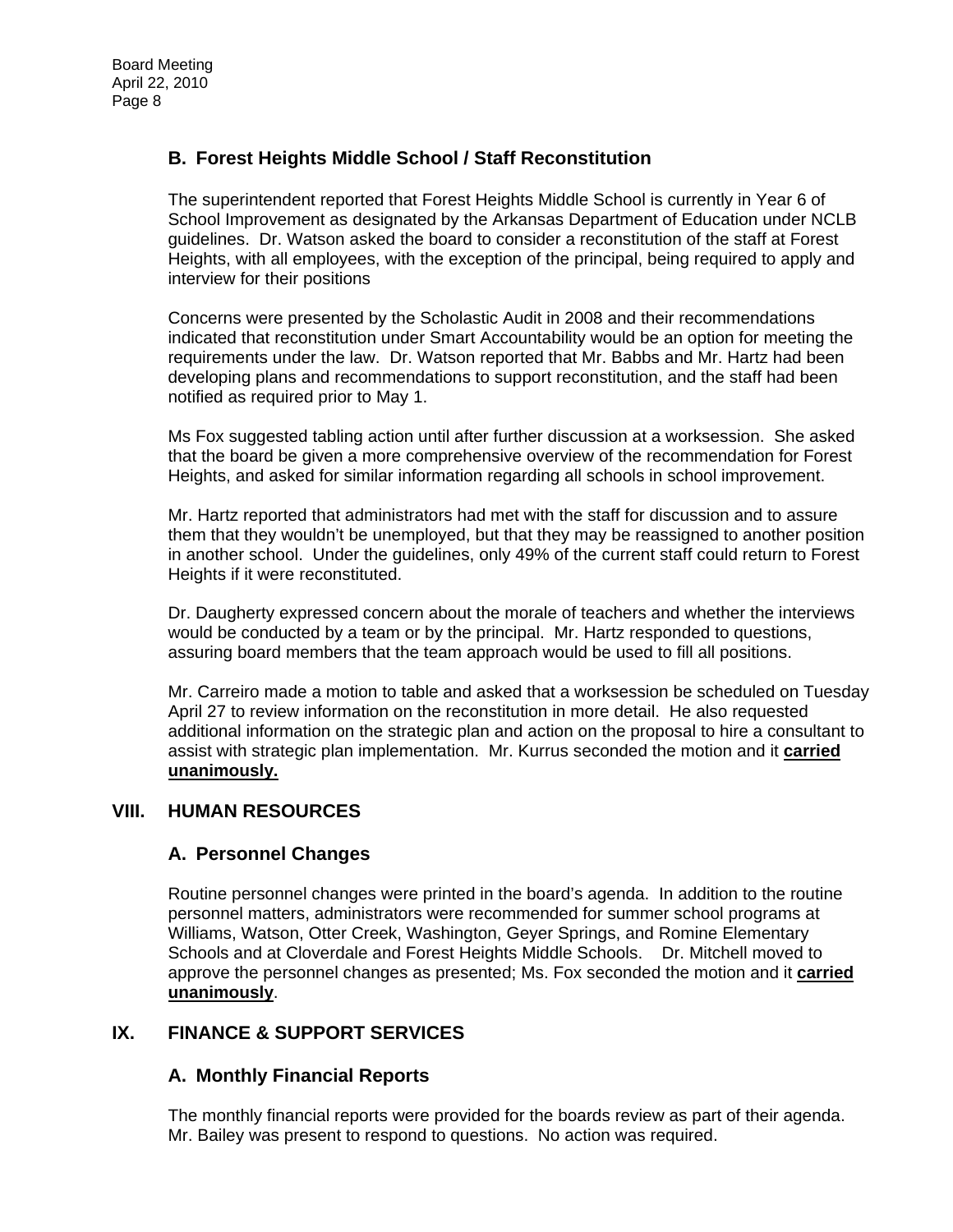# **B. Forest Heights Middle School / Staff Reconstitution**

The superintendent reported that Forest Heights Middle School is currently in Year 6 of School Improvement as designated by the Arkansas Department of Education under NCLB guidelines. Dr. Watson asked the board to consider a reconstitution of the staff at Forest Heights, with all employees, with the exception of the principal, being required to apply and interview for their positions

Concerns were presented by the Scholastic Audit in 2008 and their recommendations indicated that reconstitution under Smart Accountability would be an option for meeting the requirements under the law. Dr. Watson reported that Mr. Babbs and Mr. Hartz had been developing plans and recommendations to support reconstitution, and the staff had been notified as required prior to May 1.

Ms Fox suggested tabling action until after further discussion at a worksession. She asked that the board be given a more comprehensive overview of the recommendation for Forest Heights, and asked for similar information regarding all schools in school improvement.

Mr. Hartz reported that administrators had met with the staff for discussion and to assure them that they wouldn't be unemployed, but that they may be reassigned to another position in another school. Under the guidelines, only 49% of the current staff could return to Forest Heights if it were reconstituted.

Dr. Daugherty expressed concern about the morale of teachers and whether the interviews would be conducted by a team or by the principal. Mr. Hartz responded to questions, assuring board members that the team approach would be used to fill all positions.

Mr. Carreiro made a motion to table and asked that a worksession be scheduled on Tuesday April 27 to review information on the reconstitution in more detail. He also requested additional information on the strategic plan and action on the proposal to hire a consultant to assist with strategic plan implementation. Mr. Kurrus seconded the motion and it **carried unanimously.** 

## **VIII. HUMAN RESOURCES**

## **A. Personnel Changes**

Routine personnel changes were printed in the board's agenda. In addition to the routine personnel matters, administrators were recommended for summer school programs at Williams, Watson, Otter Creek, Washington, Geyer Springs, and Romine Elementary Schools and at Cloverdale and Forest Heights Middle Schools. Dr. Mitchell moved to approve the personnel changes as presented; Ms. Fox seconded the motion and it **carried unanimously**.

## **IX. FINANCE & SUPPORT SERVICES**

## **A. Monthly Financial Reports**

The monthly financial reports were provided for the boards review as part of their agenda. Mr. Bailey was present to respond to questions. No action was required.